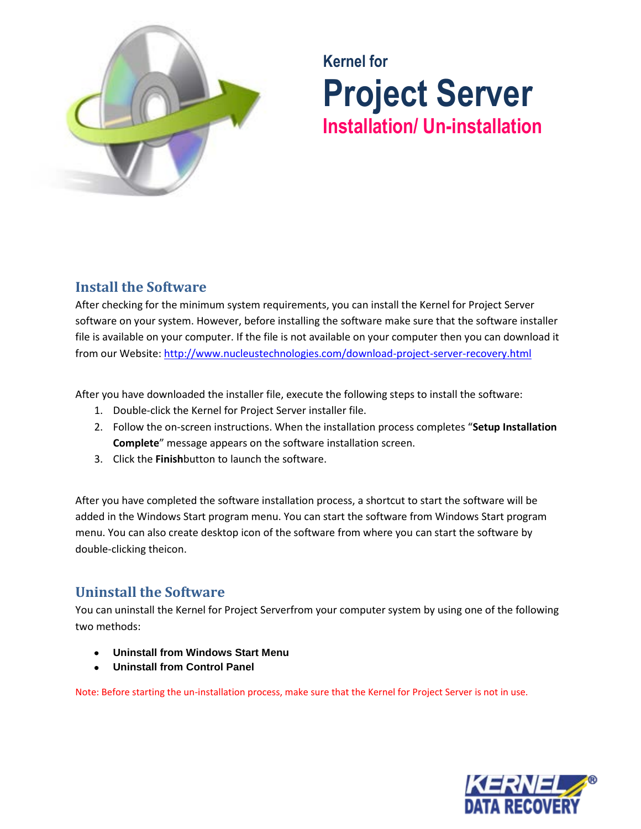

# **Kernel for Project Server Installation/ Un-installation**

## **Install the Software**

After checking for the minimum system requirements, you can install the Kernel for Project Server software on your system. However, before installing the software make sure that the software installer file is available on your computer. If the file is not available on your computer then you can download it from our Website[: http://www.nucleustechnologies.com/download-project-server-recovery.html](http://www.nucleustechnologies.com/download-project-server-recovery.html)

After you have downloaded the installer file, execute the following steps to install the software:

- 1. Double-click the Kernel for Project Server installer file.
- 2. Follow the on-screen instructions. When the installation process completes "**Setup Installation Complete**" message appears on the software installation screen.
- 3. Click the **Finish**button to launch the software.

After you have completed the software installation process, a shortcut to start the software will be added in the Windows Start program menu. You can start the software from Windows Start program menu. You can also create desktop icon of the software from where you can start the software by double-clicking theicon.

## **Uninstall the Software**

You can uninstall the Kernel for Project Serverfrom your computer system by using one of the following two methods:

- **Uninstall from Windows Start Menu**
- **Uninstall from Control Panel**

Note: Before starting the un-installation process, make sure that the Kernel for Project Server is not in use.